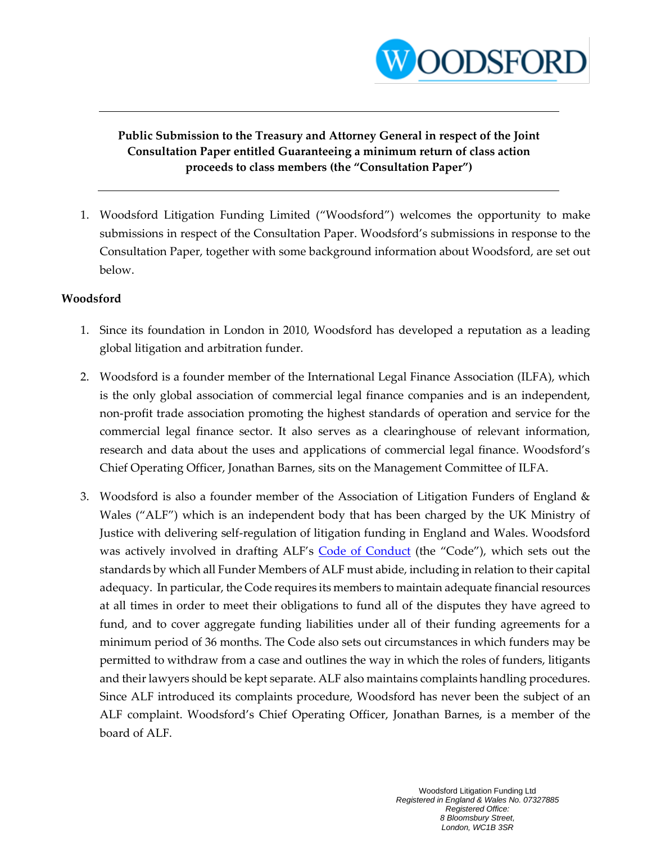

#### **Public Submission to the Treasury and Attorney General in respect of the Joint Consultation Paper entitled Guaranteeing a minimum return of class action proceeds to class members (the "Consultation Paper")**

1. Woodsford Litigation Funding Limited ("Woodsford") welcomes the opportunity to make submissions in respect of the Consultation Paper. Woodsford's submissions in response to the Consultation Paper, together with some background information about Woodsford, are set out below.

#### **Woodsford**

- 1. Since its foundation in London in 2010, Woodsford has developed a reputation as a leading global litigation and arbitration funder.
- 2. Woodsford is a founder member of the International Legal Finance Association (ILFA), which is the only global association of commercial legal finance companies and is an independent, non-profit trade association promoting the highest standards of operation and service for the commercial legal finance sector. It also serves as a clearinghouse of relevant information, research and data about the uses and applications of commercial legal finance. Woodsford's Chief Operating Officer, Jonathan Barnes, sits on the Management Committee of ILFA.
- 3. Woodsford is also a founder member of the Association of Litigation Funders of England & Wales ("ALF") which is an independent body that has been charged by the UK Ministry of Justice with delivering self-regulation of litigation funding in England and Wales. Woodsford was actively involved in drafting ALF's [Code of Conduct](https://associationoflitigationfunders.com/code-of-conduct/) (the "Code"), which sets out the standards by which all Funder Members of ALF must abide, including in relation to their capital adequacy. In particular, the Code requires its members to maintain adequate financial resources at all times in order to meet their obligations to fund all of the disputes they have agreed to fund, and to cover aggregate funding liabilities under all of their funding agreements for a minimum period of 36 months. The Code also sets out circumstances in which funders may be permitted to withdraw from a case and outlines the way in which the roles of funders, litigants and their lawyers should be kept separate. ALF also maintains complaints handling procedures. Since ALF introduced its complaints procedure, Woodsford has never been the subject of an ALF complaint. Woodsford's Chief Operating Officer, Jonathan Barnes, is a member of the board of ALF.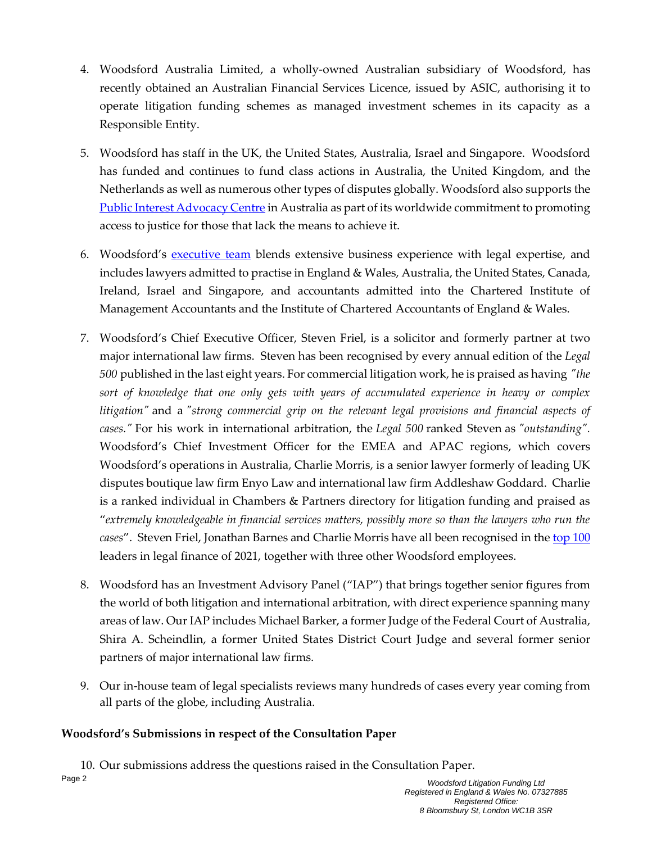- 4. Woodsford Australia Limited, a wholly-owned Australian subsidiary of Woodsford, has recently obtained an Australian Financial Services Licence, issued by ASIC, authorising it to operate litigation funding schemes as managed investment schemes in its capacity as a Responsible Entity.
- 5. Woodsford has staff in the UK, the United States, Australia, Israel and Singapore. Woodsford has funded and continues to fund class actions in Australia, the United Kingdom, and the Netherlands as well as numerous other types of disputes globally. Woodsford also supports the [Public Interest Advocacy Centre](https://www.piac.asn.au/) in Australia as part of its worldwide commitment to promoting access to justice for those that lack the means to achieve it.
- 6. Woodsford's <u>[executive team](https://woodsfordlitigationfunding.com/about-woodsford/meet-the-team/)</u> blends extensive business experience with legal expertise, and includes lawyers admitted to practise in England & Wales, Australia, the United States, Canada, Ireland, Israel and Singapore, and accountants admitted into the Chartered Institute of Management Accountants and the Institute of Chartered Accountants of England & Wales.
- 7. Woodsford's Chief Executive Officer, Steven Friel, is a solicitor and formerly partner at two major international law firms. Steven has been recognised by every annual edition of the *Legal 500* published in the last eight years. For commercial litigation work, he is praised as having *"the sort of knowledge that one only gets with years of accumulated experience in heavy or complex litigation"* and a *"strong commercial grip on the relevant legal provisions and financial aspects of cases."* For his work in international arbitration, the *Legal 500* ranked Steven as *"outstanding".* Woodsford's Chief Investment Officer for the EMEA and APAC regions, which covers Woodsford's operations in Australia, Charlie Morris, is a senior lawyer formerly of leading UK disputes boutique law firm Enyo Law and international law firm Addleshaw Goddard. Charlie is a ranked individual in Chambers & Partners directory for litigation funding and praised as "*extremely knowledgeable in financial services matters, possibly more so than the lawyers who run the*  cases". Steven Friel, Jonathan Barnes and Charlie Morris have all been recognised in the [top 100](https://www.lawdragon.com/guides/2021-06-23-2021-lawdragon-global-leaders-in-legal-finance) leaders in legal finance of 2021, together with three other Woodsford employees.
- 8. Woodsford has an Investment Advisory Panel ("IAP") that brings together senior figures from the world of both litigation and international arbitration, with direct experience spanning many areas of law. Our IAP includes Michael Barker, a former Judge of the Federal Court of Australia, Shira A. Scheindlin, a former United States District Court Judge and several former senior partners of major international law firms.
- 9. Our in-house team of legal specialists reviews many hundreds of cases every year coming from all parts of the globe, including Australia.

#### **Woodsford's Submissions in respect of the Consultation Paper**

10. Our submissions address the questions raised in the Consultation Paper.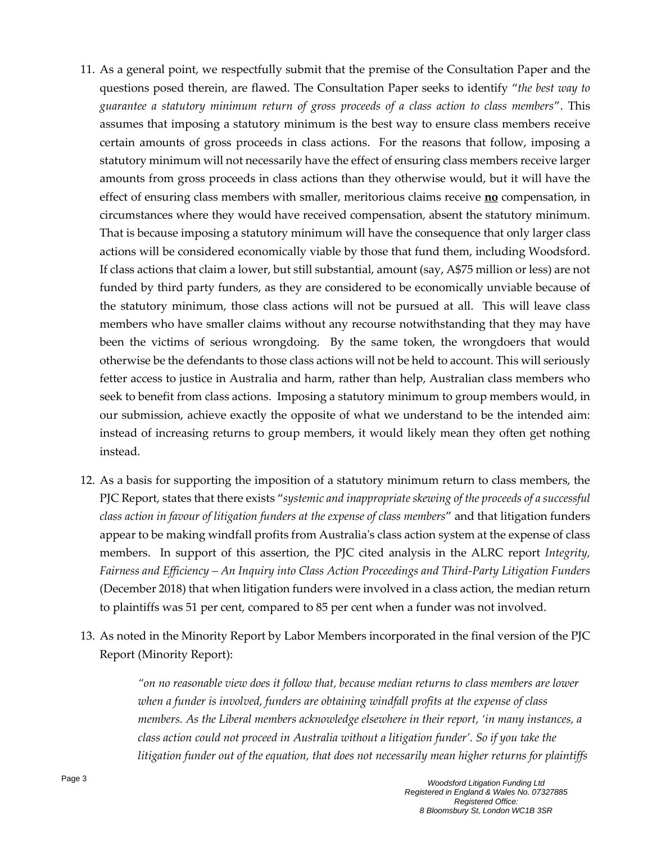- 11. As a general point, we respectfully submit that the premise of the Consultation Paper and the questions posed therein, are flawed. The Consultation Paper seeks to identify "*the best way to guarantee a statutory minimum return of gross proceeds of a class action to class members*". This assumes that imposing a statutory minimum is the best way to ensure class members receive certain amounts of gross proceeds in class actions. For the reasons that follow, imposing a statutory minimum will not necessarily have the effect of ensuring class members receive larger amounts from gross proceeds in class actions than they otherwise would, but it will have the effect of ensuring class members with smaller, meritorious claims receive **no** compensation, in circumstances where they would have received compensation, absent the statutory minimum. That is because imposing a statutory minimum will have the consequence that only larger class actions will be considered economically viable by those that fund them, including Woodsford. If class actions that claim a lower, but still substantial, amount (say, A\$75 million or less) are not funded by third party funders, as they are considered to be economically unviable because of the statutory minimum, those class actions will not be pursued at all. This will leave class members who have smaller claims without any recourse notwithstanding that they may have been the victims of serious wrongdoing. By the same token, the wrongdoers that would otherwise be the defendants to those class actions will not be held to account. This will seriously fetter access to justice in Australia and harm, rather than help, Australian class members who seek to benefit from class actions. Imposing a statutory minimum to group members would, in our submission, achieve exactly the opposite of what we understand to be the intended aim: instead of increasing returns to group members, it would likely mean they often get nothing instead.
- 12. As a basis for supporting the imposition of a statutory minimum return to class members, the PJC Report, states that there exists "*systemic and inappropriate skewing of the proceeds of a successful class action in favour of litigation funders at the expense of class members*" and that litigation funders appear to be making windfall profits from Australia's class action system at the expense of class members. In support of this assertion, the PJC cited analysis in the ALRC report *Integrity, Fairness and Efficiency – An Inquiry into Class Action Proceedings and Third-Party Litigation Funders*  (December 2018) that when litigation funders were involved in a class action, the median return to plaintiffs was 51 per cent, compared to 85 per cent when a funder was not involved.
- 13. As noted in the Minority Report by Labor Members incorporated in the final version of the PJC Report (Minority Report):

*"on no reasonable view does it follow that, because median returns to class members are lower when a funder is involved, funders are obtaining windfall profits at the expense of class members. As the Liberal members acknowledge elsewhere in their report, 'in many instances, a class action could not proceed in Australia without a litigation funder'. So if you take the litigation funder out of the equation, that does not necessarily mean higher returns for plaintiffs*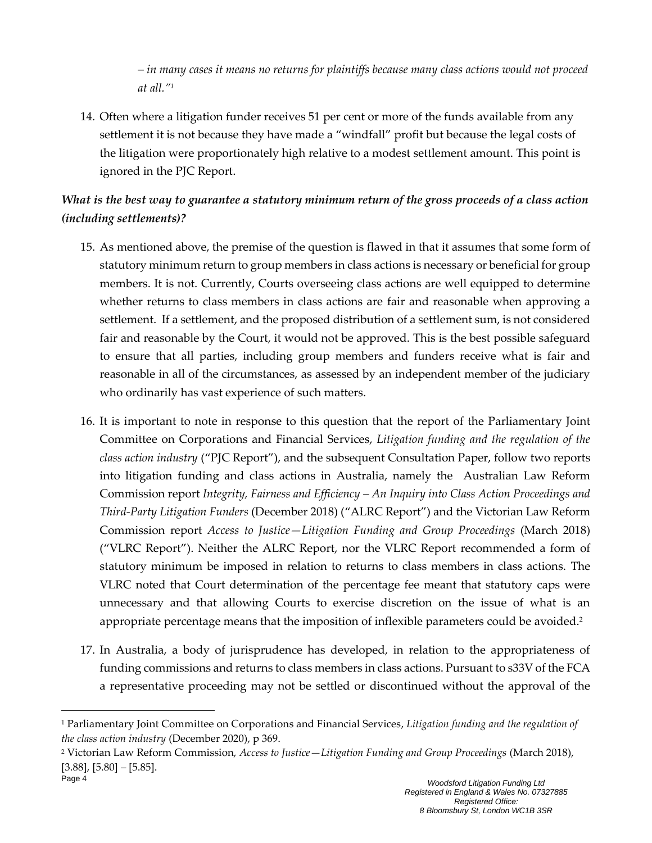*– in many cases it means no returns for plaintiffs because many class actions would not proceed at all."<sup>1</sup>*

14. Often where a litigation funder receives 51 per cent or more of the funds available from any settlement it is not because they have made a "windfall" profit but because the legal costs of the litigation were proportionately high relative to a modest settlement amount. This point is ignored in the PJC Report.

#### *What is the best way to guarantee a statutory minimum return of the gross proceeds of a class action (including settlements)?*

- 15. As mentioned above, the premise of the question is flawed in that it assumes that some form of statutory minimum return to group members in class actions is necessary or beneficial for group members. It is not. Currently, Courts overseeing class actions are well equipped to determine whether returns to class members in class actions are fair and reasonable when approving a settlement. If a settlement, and the proposed distribution of a settlement sum, is not considered fair and reasonable by the Court, it would not be approved. This is the best possible safeguard to ensure that all parties, including group members and funders receive what is fair and reasonable in all of the circumstances, as assessed by an independent member of the judiciary who ordinarily has vast experience of such matters.
- 16. It is important to note in response to this question that the report of the Parliamentary Joint Committee on Corporations and Financial Services, *Litigation funding and the regulation of the class action industry* ("PJC Report"), and the subsequent Consultation Paper, follow two reports into litigation funding and class actions in Australia, namely the Australian Law Reform Commission report *Integrity, Fairness and Efficiency – An Inquiry into Class Action Proceedings and Third-Party Litigation Funders* (December 2018) ("ALRC Report") and the Victorian Law Reform Commission report *Access to Justice—Litigation Funding and Group Proceedings* (March 2018) ("VLRC Report"). Neither the ALRC Report, nor the VLRC Report recommended a form of statutory minimum be imposed in relation to returns to class members in class actions. The VLRC noted that Court determination of the percentage fee meant that statutory caps were unnecessary and that allowing Courts to exercise discretion on the issue of what is an appropriate percentage means that the imposition of inflexible parameters could be avoided.<sup>2</sup>
- 17. In Australia, a body of jurisprudence has developed, in relation to the appropriateness of funding commissions and returns to class members in class actions. Pursuant to s33V of the FCA a representative proceeding may not be settled or discontinued without the approval of the

<sup>1</sup> Parliamentary Joint Committee on Corporations and Financial Services, *Litigation funding and the regulation of the class action industry* (December 2020), p 369.

<sup>2</sup> Victorian Law Reform Commission, *Access to Justice—Litigation Funding and Group Proceedings* (March 2018),  $[3.88]$ ,  $[5.80] - [5.85]$ .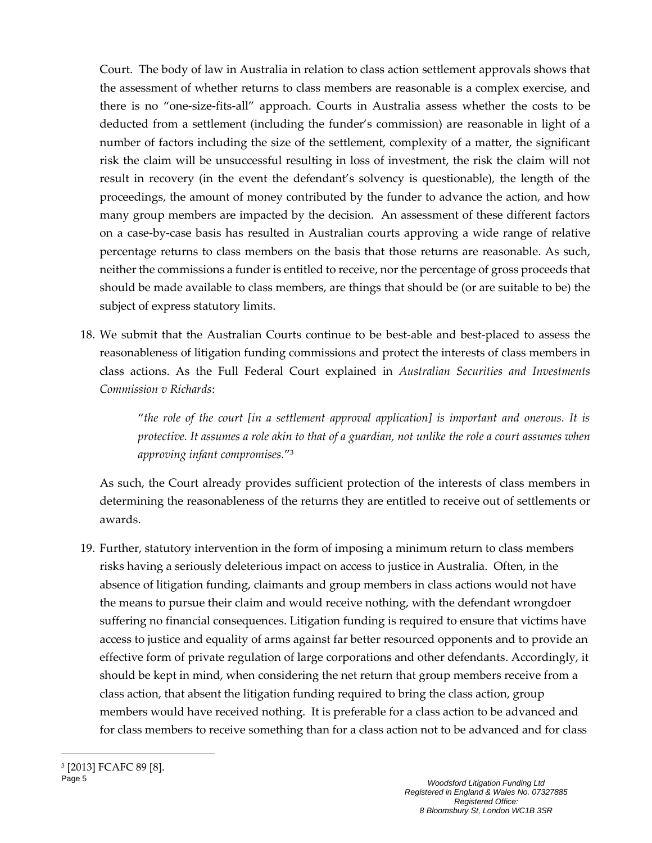Court. The body of law in Australia in relation to class action settlement approvals shows that the assessment of whether returns to class members are reasonable is a complex exercise, and there is no "one-size-fits-all" approach. Courts in Australia assess whether the costs to be deducted from a settlement (including the funder's commission) are reasonable in light of a number of factors including the size of the settlement, complexity of a matter, the significant risk the claim will be unsuccessful resulting in loss of investment, the risk the claim will not result in recovery (in the event the defendant's solvency is questionable), the length of the proceedings, the amount of money contributed by the funder to advance the action, and how many group members are impacted by the decision. An assessment of these different factors on a case-by-case basis has resulted in Australian courts approving a wide range of relative percentage returns to class members on the basis that those returns are reasonable. As such, neither the commissions a funder is entitled to receive, nor the percentage of gross proceeds that should be made available to class members, are things that should be (or are suitable to be) the subject of express statutory limits.

18. We submit that the Australian Courts continue to be best-able and best-placed to assess the reasonableness of litigation funding commissions and protect the interests of class members in class actions. As the Full Federal Court explained in *Australian Securities and Investments Commission v Richards*:

> "*the role of the court [in a settlement approval application] is important and onerous. It is protective. It assumes a role akin to that of a guardian, not unlike the role a court assumes when approving infant compromises.*" 3

As such, the Court already provides sufficient protection of the interests of class members in determining the reasonableness of the returns they are entitled to receive out of settlements or awards.

19. Further, statutory intervention in the form of imposing a minimum return to class members risks having a seriously deleterious impact on access to justice in Australia. Often, in the absence of litigation funding, claimants and group members in class actions would not have the means to pursue their claim and would receive nothing, with the defendant wrongdoer suffering no financial consequences. Litigation funding is required to ensure that victims have access to justice and equality of arms against far better resourced opponents and to provide an effective form of private regulation of large corporations and other defendants. Accordingly, it should be kept in mind, when considering the net return that group members receive from a class action, that absent the litigation funding required to bring the class action, group members would have received nothing. It is preferable for a class action to be advanced and for class members to receive something than for a class action not to be advanced and for class

Page 5 *Woodsford Litigation Funding Ltd* 3 [2013] FCAFC 89 [8].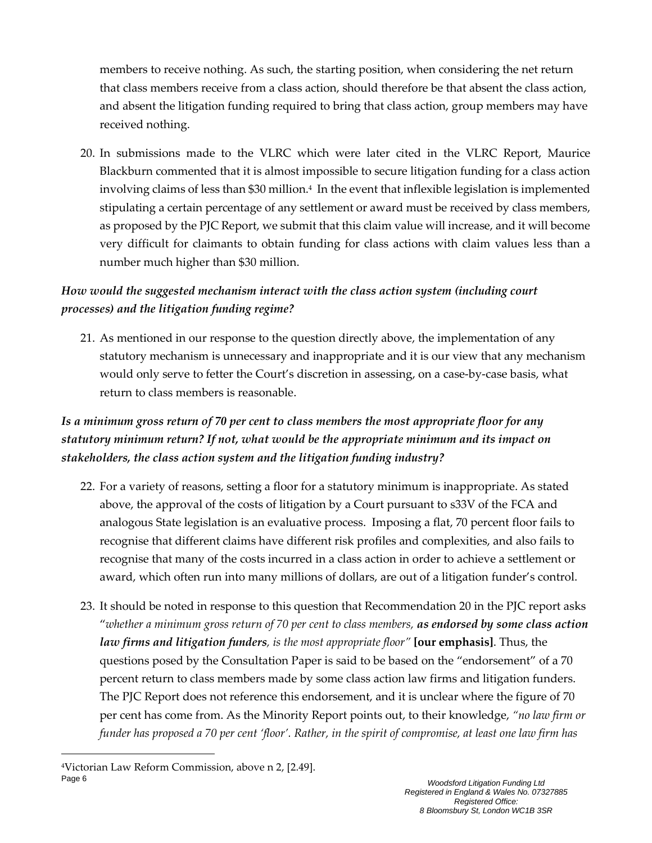members to receive nothing. As such, the starting position, when considering the net return that class members receive from a class action, should therefore be that absent the class action, and absent the litigation funding required to bring that class action, group members may have received nothing.

20. In submissions made to the VLRC which were later cited in the VLRC Report, Maurice Blackburn commented that it is almost impossible to secure litigation funding for a class action involving claims of less than \$30 million. 4 In the event that inflexible legislation is implemented stipulating a certain percentage of any settlement or award must be received by class members, as proposed by the PJC Report, we submit that this claim value will increase, and it will become very difficult for claimants to obtain funding for class actions with claim values less than a number much higher than \$30 million.

## *How would the suggested mechanism interact with the class action system (including court processes) and the litigation funding regime?*

21. As mentioned in our response to the question directly above, the implementation of any statutory mechanism is unnecessary and inappropriate and it is our view that any mechanism would only serve to fetter the Court's discretion in assessing, on a case-by-case basis, what return to class members is reasonable.

# *Is a minimum gross return of 70 per cent to class members the most appropriate floor for any statutory minimum return? If not, what would be the appropriate minimum and its impact on stakeholders, the class action system and the litigation funding industry?*

- 22. For a variety of reasons, setting a floor for a statutory minimum is inappropriate. As stated above, the approval of the costs of litigation by a Court pursuant to s33V of the FCA and analogous State legislation is an evaluative process. Imposing a flat, 70 percent floor fails to recognise that different claims have different risk profiles and complexities, and also fails to recognise that many of the costs incurred in a class action in order to achieve a settlement or award, which often run into many millions of dollars, are out of a litigation funder's control.
- 23. It should be noted in response to this question that Recommendation 20 in the PJC report asks "*whether a minimum gross return of 70 per cent to class members, as endorsed by some class action law firms and litigation funders, is the most appropriate floor"* **[our emphasis]**. Thus, the questions posed by the Consultation Paper is said to be based on the "endorsement" of a 70 percent return to class members made by some class action law firms and litigation funders. The PJC Report does not reference this endorsement, and it is unclear where the figure of 70 per cent has come from. As the Minority Report points out, to their knowledge, *"no law firm or funder has proposed a 70 per cent 'floor'. Rather, in the spirit of compromise, at least one law firm has*

Page 6 *Woodsford Litigation Funding Ltd* 4Victorian Law Reform Commission, above n 2, [2.49].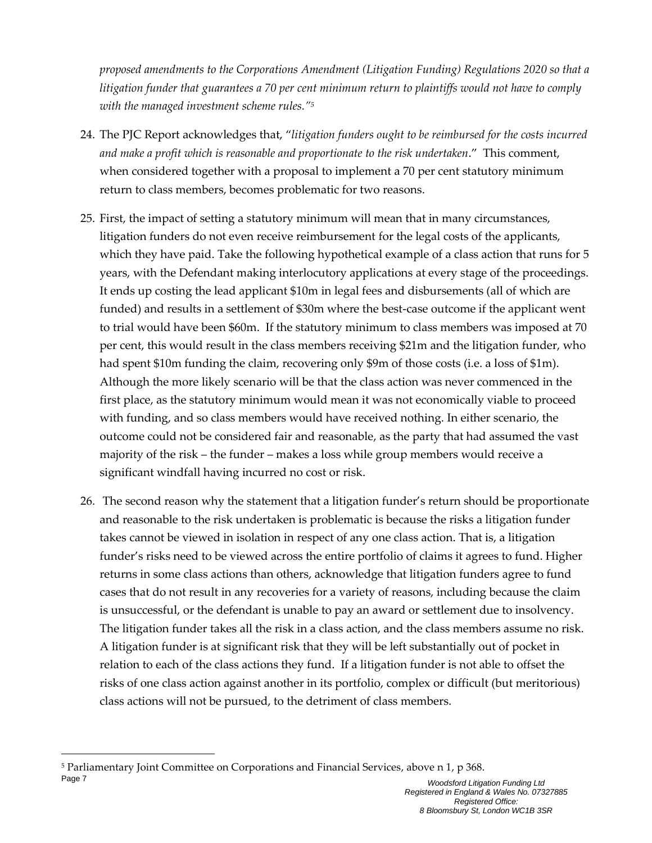*proposed amendments to the Corporations Amendment (Litigation Funding) Regulations 2020 so that a litigation funder that guarantees a 70 per cent minimum return to plaintiffs would not have to comply with the managed investment scheme rules."<sup>5</sup>*

- 24. The PJC Report acknowledges that, "*litigation funders ought to be reimbursed for the costs incurred and make a profit which is reasonable and proportionate to the risk undertaken*." This comment, when considered together with a proposal to implement a 70 per cent statutory minimum return to class members, becomes problematic for two reasons.
- 25. First, the impact of setting a statutory minimum will mean that in many circumstances, litigation funders do not even receive reimbursement for the legal costs of the applicants, which they have paid. Take the following hypothetical example of a class action that runs for 5 years, with the Defendant making interlocutory applications at every stage of the proceedings. It ends up costing the lead applicant \$10m in legal fees and disbursements (all of which are funded) and results in a settlement of \$30m where the best-case outcome if the applicant went to trial would have been \$60m. If the statutory minimum to class members was imposed at 70 per cent, this would result in the class members receiving \$21m and the litigation funder, who had spent \$10m funding the claim, recovering only \$9m of those costs (i.e. a loss of \$1m). Although the more likely scenario will be that the class action was never commenced in the first place, as the statutory minimum would mean it was not economically viable to proceed with funding, and so class members would have received nothing. In either scenario, the outcome could not be considered fair and reasonable, as the party that had assumed the vast majority of the risk – the funder – makes a loss while group members would receive a significant windfall having incurred no cost or risk.
- 26. The second reason why the statement that a litigation funder's return should be proportionate and reasonable to the risk undertaken is problematic is because the risks a litigation funder takes cannot be viewed in isolation in respect of any one class action. That is, a litigation funder's risks need to be viewed across the entire portfolio of claims it agrees to fund. Higher returns in some class actions than others, acknowledge that litigation funders agree to fund cases that do not result in any recoveries for a variety of reasons, including because the claim is unsuccessful, or the defendant is unable to pay an award or settlement due to insolvency. The litigation funder takes all the risk in a class action, and the class members assume no risk. A litigation funder is at significant risk that they will be left substantially out of pocket in relation to each of the class actions they fund. If a litigation funder is not able to offset the risks of one class action against another in its portfolio, complex or difficult (but meritorious) class actions will not be pursued, to the detriment of class members.

Page 7 *Woodsford Litigation Funding Ltd* <sup>5</sup> Parliamentary Joint Committee on Corporations and Financial Services, above n 1, p 368.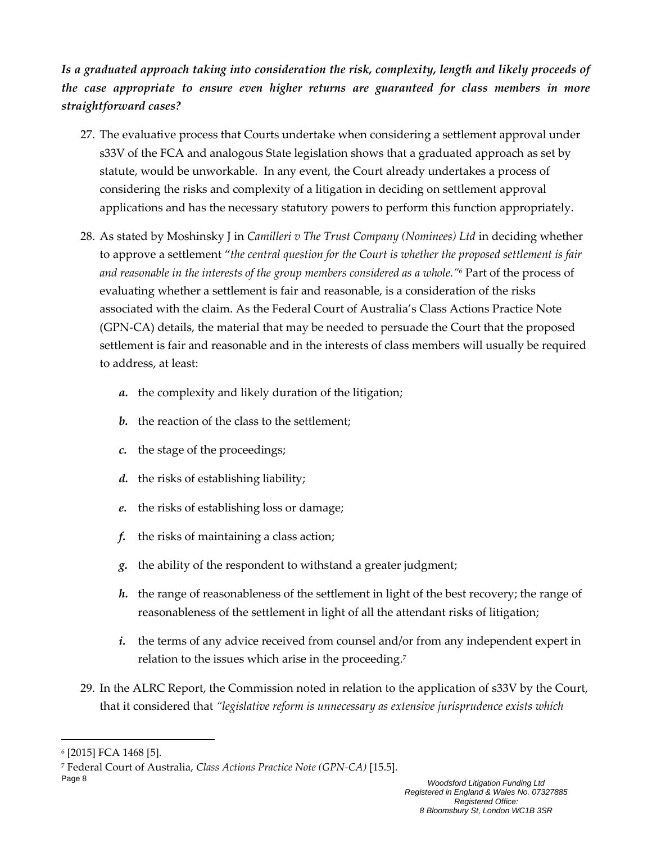*Is a graduated approach taking into consideration the risk, complexity, length and likely proceeds of the case appropriate to ensure even higher returns are guaranteed for class members in more straightforward cases?*

- 27. The evaluative process that Courts undertake when considering a settlement approval under s33V of the FCA and analogous State legislation shows that a graduated approach as set by statute, would be unworkable. In any event, the Court already undertakes a process of considering the risks and complexity of a litigation in deciding on settlement approval applications and has the necessary statutory powers to perform this function appropriately.
- 28. As stated by Moshinsky J in *Camilleri v The Trust Company (Nominees) Ltd* in deciding whether to approve a settlement "*the central question for the Court is whether the proposed settlement is fair and reasonable in the interests of the group members considered as a whole." <sup>6</sup>* Part of the process of evaluating whether a settlement is fair and reasonable, is a consideration of the risks associated with the claim. As the Federal Court of Australia's Class Actions Practice Note (GPN-CA) details, the material that may be needed to persuade the Court that the proposed settlement is fair and reasonable and in the interests of class members will usually be required to address, at least:
	- *a.* the complexity and likely duration of the litigation;
	- *b.* the reaction of the class to the settlement;
	- *c.* the stage of the proceedings;
	- *d.* the risks of establishing liability;
	- *e.* the risks of establishing loss or damage;
	- *f.* the risks of maintaining a class action;
	- *g.* the ability of the respondent to withstand a greater judgment;
	- *h.* the range of reasonableness of the settlement in light of the best recovery; the range of reasonableness of the settlement in light of all the attendant risks of litigation;
	- *i.* the terms of any advice received from counsel and/or from any independent expert in relation to the issues which arise in the proceeding.<sup>7</sup>
- 29. In the ALRC Report, the Commission noted in relation to the application of s33V by the Court, that it considered that *"legislative reform is unnecessary as extensive jurisprudence exists which*

<sup>6</sup> [2015] FCA 1468 [5].

<sup>7</sup> Federal Court of Australia, *Class Actions Practice Note (GPN-CA)* [15.5].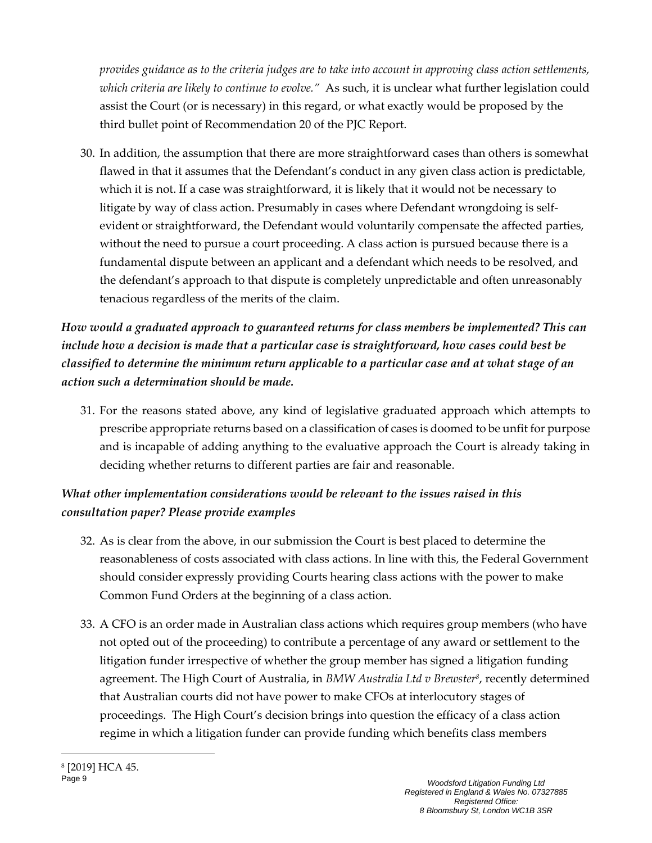*provides guidance as to the criteria judges are to take into account in approving class action settlements, which criteria are likely to continue to evolve."* As such, it is unclear what further legislation could assist the Court (or is necessary) in this regard, or what exactly would be proposed by the third bullet point of Recommendation 20 of the PJC Report.

30. In addition, the assumption that there are more straightforward cases than others is somewhat flawed in that it assumes that the Defendant's conduct in any given class action is predictable, which it is not. If a case was straightforward, it is likely that it would not be necessary to litigate by way of class action. Presumably in cases where Defendant wrongdoing is selfevident or straightforward, the Defendant would voluntarily compensate the affected parties, without the need to pursue a court proceeding. A class action is pursued because there is a fundamental dispute between an applicant and a defendant which needs to be resolved, and the defendant's approach to that dispute is completely unpredictable and often unreasonably tenacious regardless of the merits of the claim.

# *How would a graduated approach to guaranteed returns for class members be implemented? This can include how a decision is made that a particular case is straightforward, how cases could best be classified to determine the minimum return applicable to a particular case and at what stage of an action such a determination should be made.*

31. For the reasons stated above, any kind of legislative graduated approach which attempts to prescribe appropriate returns based on a classification of cases is doomed to be unfit for purpose and is incapable of adding anything to the evaluative approach the Court is already taking in deciding whether returns to different parties are fair and reasonable.

## *What other implementation considerations would be relevant to the issues raised in this consultation paper? Please provide examples*

- 32. As is clear from the above, in our submission the Court is best placed to determine the reasonableness of costs associated with class actions. In line with this, the Federal Government should consider expressly providing Courts hearing class actions with the power to make Common Fund Orders at the beginning of a class action.
- 33. A CFO is an order made in Australian class actions which requires group members (who have not opted out of the proceeding) to contribute a percentage of any award or settlement to the litigation funder irrespective of whether the group member has signed a litigation funding agreement. The High Court of Australia, in *BMW Australia Ltd v Brewster<sup>8</sup>* , recently determined that Australian courts did not have power to make CFOs at interlocutory stages of proceedings. The High Court's decision brings into question the efficacy of a class action regime in which a litigation funder can provide funding which benefits class members

<sup>8</sup> [2019] HCA 45.